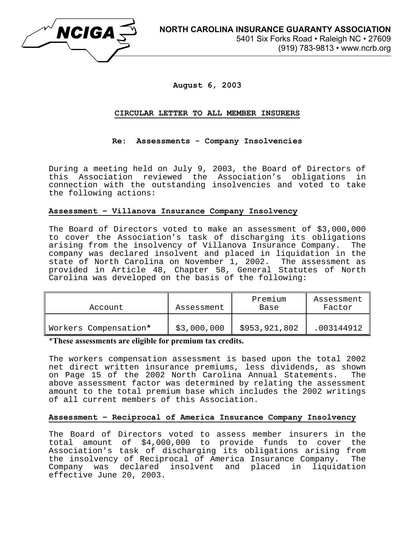

**August 6, 2003** 

## **CIRCULAR LETTER TO ALL MEMBER INSURERS**

# **Re: Assessments - Company Insolvencies**

During a meeting held on July 9, 2003, the Board of Directors of this Association reviewed the Association's obligations in connection with the outstanding insolvencies and voted to take the following actions:

## **Assessment – Villanova Insurance Company Insolvency**

The Board of Directors voted to make an assessment of \$3,000,000 to cover the Association's task of discharging its obligations<br>arising from the insolvency of Villanova Insurance Company. The arising from the insolvency of Villanova Insurance Company. company was declared insolvent and placed in liquidation in the state of North Carolina on November 1, 2002. The assessment as provided in Article 48, Chapter 58, General Statutes of North Carolina was developed on the basis of the following:

| Account               | Assessment  | Premium<br>Base | Assessment<br>Factor |
|-----------------------|-------------|-----------------|----------------------|
| Workers Compensation* | \$3,000,000 | \$953,921,802   | .003144912           |

\***These assessments are eligible for premium tax credits.** 

The workers compensation assessment is based upon the total 2002 net direct written insurance premiums, less dividends, as shown on Page 15 of the 2002 North Carolina Annual Statements. The above assessment factor was determined by relating the assessment amount to the total premium base which includes the 2002 writings of all current members of this Association.

#### **Assessment – Reciprocal of America Insurance Company Insolvency**

The Board of Directors voted to assess member insurers in the total amount of \$4,000,000 to provide funds to cover the Association's task of discharging its obligations arising from the insolvency of Reciprocal of America Insurance Company. The Company was declared insolvent and placed in liquidation effective June 20, 2003.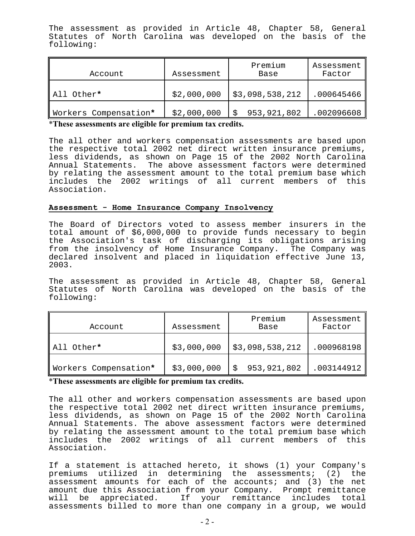The assessment as provided in Article 48, Chapter 58, General Statutes of North Carolina was developed on the basis of the following:

| Account               | Assessment  | Premium<br>Base | Assessment<br>Factor |
|-----------------------|-------------|-----------------|----------------------|
| All Other*            | \$2,000,000 | \$3,098,538,212 | .000645466           |
| Workers Compensation* | \$2,000,000 | 953, 921, 802   | .002096608           |

\***These assessments are eligible for premium tax credits.** 

The all other and workers compensation assessments are based upon the respective total 2002 net direct written insurance premiums, less dividends, as shown on Page 15 of the 2002 North Carolina Annual Statements. The above assessment factors were determined by relating the assessment amount to the total premium base which includes the 2002 writings of all current members of this Association.

#### **Assessment - Home Insurance Company Insolvency**

The Board of Directors voted to assess member insurers in the total amount of \$6,000,000 to provide funds necessary to begin the Association's task of discharging its obligations arising from the insolvency of Home Insurance Company. The Company was declared insolvent and placed in liquidation effective June 13, 2003.

The assessment as provided in Article 48, Chapter 58, General Statutes of North Carolina was developed on the basis of the following:

| Account               | Assessment  | Premium<br>Base | Assessment<br>Factor |
|-----------------------|-------------|-----------------|----------------------|
| All Other*            | \$3,000,000 | \$3,098,538,212 | .000968198           |
| Workers Compensation* | \$3,000,000 | 953,921,802     | .003144912           |

\***These assessments are eligible for premium tax credits.** 

The all other and workers compensation assessments are based upon the respective total 2002 net direct written insurance premiums, less dividends, as shown on Page 15 of the 2002 North Carolina Annual Statements. The above assessment factors were determined by relating the assessment amount to the total premium base which includes the 2002 writings of all current members of this Association.

If a statement is attached hereto, it shows (1) your Company's premiums utilized in determining the assessments; (2) the assessment amounts for each of the accounts; and (3) the net amount due this Association from your Company. Prompt remittance will be appreciated. If your remittance includes total assessments billed to more than one company in a group, we would